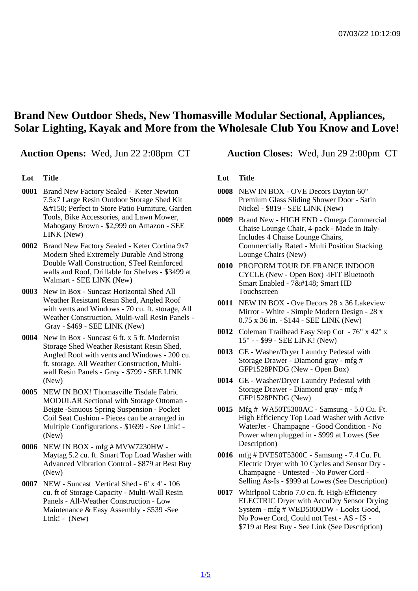## Brand New Outdoor Sheds, New Thomasville Modular Sectional, Appliances, Solar Lighting, Kayak and More from the Wholesale Club You Know and Love!

Auction Opens: Wed, Jun 22 2:08pm CT Auction Closes: Wed, Jun 29 2:00pm CT

Lot Title

- 0001 Brand New Factory Sealed Keter Newton 7.5x7 Large Resin Outdoor Storage Shed Kit – Perfect to Store Patio Furniture, Garden Tools, Bike Accessories, and Lawn Mower, Mahogany Brown - \$2,999 on Amazon - SEE LINK (New)
- 0002 Brand New Factory Sealed Keter Cortina 9x7 Modern Shed Extremely Durable And Strong Double Wall Construction, STeel Reinforced walls and Roof, Drillable for Shelves - \$3499 at Walmart - SEE LINK (New)
- 0003 New In Box Suncast Horizontal Shed All Weather Resistant Resin Shed, Angled Roof with vents and Windows - 70 cu. ft. storage, All Weather Construction, Multi-wall Resin Panels - Gray - \$469 - SEE LINK (New)
- 0004 New In Box Suncast 6 ft. x 5 ft. Modernist Storage Shed Weather Resistant Resin Shed, Angled Roof with vents and Windows - 200 cu. ft. storage, All Weather Construction, Multiwall Resin Panels - Gray - \$799 - SEE LINK (New)
- 0005 NEW IN BOX! Thomasville Tisdale Fabric MODULAR Sectional with Storage Ottoman - Beigte -Sinuous Spring Suspension - Pocket Coil Seat Cushion - Pieces can be arranged in Multiple Configurations - \$1699 - See Link! - (New)
- 0006 NEW IN BOX mfg # MVW7230HW Maytag 5.2 cu. ft. Smart Top Load Washer with Advanced Vibration Control - \$879 at Best Buy (New)
- 0007 NEW Suncast Vertical Shed 6' x 4' 106 cu. ft of Storage Capacity - Multi-Wall Resin Panels - All-Weather Construction - Low Maintenance & Easy Assembly - \$539 -See Link! - (New)

Lot Title

- 0008 NEW IN BOX OVE Decors Dayton 60" Premium Glass Sliding Shower Door - Satin Nickel - \$819 - SEE LINK (New)
- 0009 Brand New HIGH END Omega Commercial Chaise Lounge Chair, 4-pack - Made in Italy-Includes 4 Chaise Lounge Chairs, Commercially Rated - Multi Position Stacking Lounge Chairs (New)
- 0010 PROFORM TOUR DE FRANCE INDOOR CYCLE (New - Open Box) -iFIT Bluetooth Smart Enabled - 7" Smart HD **Touchscreen**
- 0011 NEW IN BOX Ove Decors 28 x 36 Lakeview Mirror - White - Simple Modern Design - 28 x 0.75 x 36 in. - \$144 - SEE LINK (New)
- 0012 Coleman Trailhead Easy Step Cot 76" x 42" x 15" - - \$99 - SEE LINK! (New)
- 0013 GE Washer/Dryer Laundry Pedestal with Storage Drawer - Diamond gray - mfg # GFP1528PNDG (New - Open Box)
- 0014 GE Washer/Dryer Laundry Pedestal with Storage Drawer - Diamond gray - mfg # GFP1528PNDG (New)
- 0015 Mfg # WA50T5300AC Samsung 5.0 Cu. Ft. High Efficiency Top Load Washer with Active WaterJet - Champagne - Good Condition - No Power when plugged in - \$999 at Lowes (See Description)
- 0016 mfg # DVE50T5300C Samsung 7.4 Cu. Ft. Electric Dryer with 10 Cycles and Sensor Dry - Champagne - Untested - No Power Cord - Selling As-Is - \$999 at Lowes (See Description)
- 0017 Whirlpool Cabrio 7.0 cu. ft. High-Efficiency ELECTRIC Dryer with AccuDry Sensor Drying System - mfg # WED5000DW - Looks Good, No Power Cord, Could not Test - AS - IS - \$719 at Best Buy - See Link (See Description)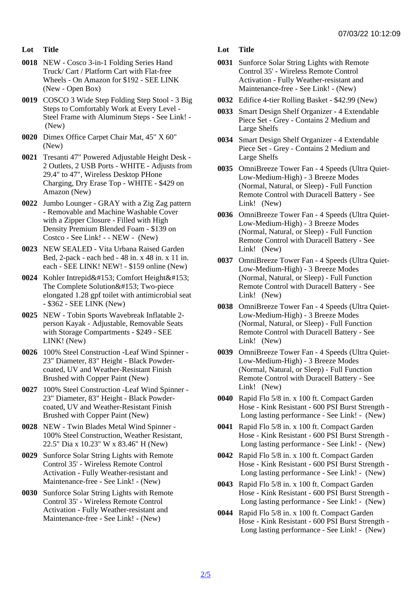- Lot Title
- 0018 NEW Cosco 3-in-1 Folding Series Hand Truck/ Cart / Platform Cart with Flat-free Wheels - On Amazon for \$192 - SEE LINK (New - Open Box)
- 0019 COSCO 3 Wide Step Folding Step Stool 3 Big Steps to Comfortably Work at Every Level - Steel Frame with Aluminum Steps - See Link! - (New)
- 0020 Dimex Office Carpet Chair Mat, 45" X 60" (New)
- 0021 Tresanti 47" Powered Adjustable Height Desk 2 Outlets, 2 USB Ports - WHITE - Adjusts from 29.4" to 47", Wireless Desktop PHone Charging, Dry Erase Top - WHITE - \$429 on Amazon (New)
- 0022 Jumbo Lounger GRAY with a Zig Zag pattern - Removable and Machine Washable Cover with a Zipper Closure - Filled with High Density Premium Blended Foam - \$139 on Costco - See Link! - - NEW - (New)
- 0023 NEW SEALED Vita Urbana Raised Garden Bed, 2-pack - each bed - 48 in. x 48 in. x 11 in. each - SEE LINK! NEW! - \$159 online (New)
- 0024 Kohler Intrepid™ Comfort Height™ The Complete Solution™ Two-piece elongated 1.28 gpf toilet with antimicrobial seat - \$362 - SEE LINK (New)
- 0025 NEW Tobin Sports Wavebreak Inflatable 2 person Kayak - Adjustable, Removable Seats with Storage Compartments - \$249 - SEE LINK! (New)
- 0026 100% Steel Construction -Leaf Wind Spinner 23" Diameter, 83" Height - Black Powdercoated, UV and Weather-Resistant Finish Brushed with Copper Paint (New)
- 0027 100% Steel Construction -Leaf Wind Spinner 23" Diameter, 83" Height - Black Powdercoated, UV and Weather-Resistant Finish Brushed with Copper Paint (New)
- 0028 NEW Twin Blades Metal Wind Spinner 100% Steel Construction, Weather Resistant, 22.5" Dia x 10.23" W x 83.46" H (New)
- 0029 Sunforce Solar String Lights with Remote Control 35' - Wireless Remote Control Activation - Fully Weather-resistant and Maintenance-free - See Link! - (New)
- 0030 Sunforce Solar String Lights with Remote Control 35' - Wireless Remote Control Activation - Fully Weather-resistant and Maintenance-free - See Link! - (New)
- Lot Title
- 0031 Sunforce Solar String Lights with Remote Control 35' - Wireless Remote Control Activation - Fully Weather-resistant and Maintenance-free - See Link! - (New)
- 0032 Edifice 4-tier Rolling Basket \$42.99 (New)
- 0033 Smart Design Shelf Organizer 4 Extendable Piece Set - Grey - Contains 2 Medium and Large Shelfs
- 0034 Smart Design Shelf Organizer 4 Extendable Piece Set - Grey - Contains 2 Medium and Large Shelfs
- 0035 OmniBreeze Tower Fan 4 Speeds (Ultra Quiet-Low-Medium-High) - 3 Breeze Modes (Normal, Natural, or Sleep) - Full Function Remote Control with Duracell Battery - See Link! (New)
- 0036 OmniBreeze Tower Fan 4 Speeds (Ultra Quiet-Low-Medium-High) - 3 Breeze Modes (Normal, Natural, or Sleep) - Full Function Remote Control with Duracell Battery - See Link! (New)
- 0037 OmniBreeze Tower Fan 4 Speeds (Ultra Quiet-Low-Medium-High) - 3 Breeze Modes (Normal, Natural, or Sleep) - Full Function Remote Control with Duracell Battery - See Link! (New)
- 0038 OmniBreeze Tower Fan 4 Speeds (Ultra Quiet-Low-Medium-High) - 3 Breeze Modes (Normal, Natural, or Sleep) - Full Function Remote Control with Duracell Battery - See Link! (New)
- 0039 OmniBreeze Tower Fan 4 Speeds (Ultra Quiet-Low-Medium-High) - 3 Breeze Modes (Normal, Natural, or Sleep) - Full Function Remote Control with Duracell Battery - See Link! (New)
- 0040 Rapid Flo 5/8 in. x 100 ft. Compact Garden Hose - Kink Resistant - 600 PSI Burst Strength - Long lasting performance - See Link! - (New)
- 0041 Rapid Flo 5/8 in. x 100 ft. Compact Garden Hose - Kink Resistant - 600 PSI Burst Strength - Long lasting performance - See Link! - (New)
- 0042 Rapid Flo 5/8 in. x 100 ft. Compact Garden Hose - Kink Resistant - 600 PSI Burst Strength - Long lasting performance - See Link! - (New)
- 0043 Rapid Flo 5/8 in. x 100 ft. Compact Garden Hose - Kink Resistant - 600 PSI Burst Strength - Long lasting performance - See Link! - (New)
- 0044 Rapid Flo 5/8 in. x 100 ft. Compact Garden Hose - Kink Resistant - 600 PSI Burst Strength - Long lasting performance - See Link! - (New)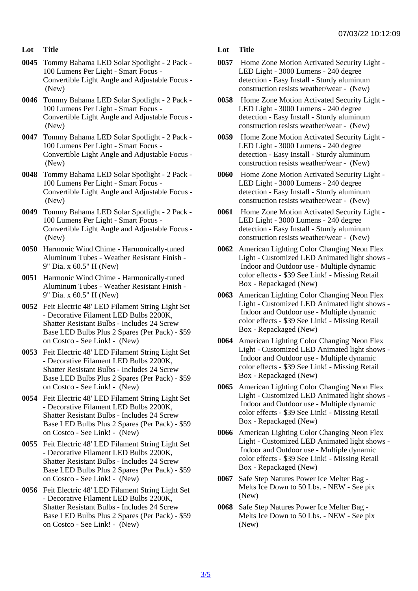- Lot Title
- 0045 Tommy Bahama LED Solar Spotlight 2 Pack 100 Lumens Per Light - Smart Focus - Convertible Light Angle and Adjustable Focus - (New)
- 0046 Tommy Bahama LED Solar Spotlight 2 Pack 100 Lumens Per Light - Smart Focus - Convertible Light Angle and Adjustable Focus - (New)
- 0047 Tommy Bahama LED Solar Spotlight 2 Pack 100 Lumens Per Light - Smart Focus - Convertible Light Angle and Adjustable Focus - (New)
- 0048 Tommy Bahama LED Solar Spotlight 2 Pack 100 Lumens Per Light - Smart Focus - Convertible Light Angle and Adjustable Focus - (New)
- 0049 Tommy Bahama LED Solar Spotlight 2 Pack 100 Lumens Per Light - Smart Focus - Convertible Light Angle and Adjustable Focus - (New)
- 0050 Harmonic Wind Chime Harmonically-tuned Aluminum Tubes - Weather Resistant Finish - 9" Dia. x 60.5" H (New)
- 0051 Harmonic Wind Chime Harmonically-tuned Aluminum Tubes - Weather Resistant Finish - 9" Dia. x 60.5" H (New)
- 0052 Feit Electric 48' LED Filament String Light Set - Decorative Filament LED Bulbs 2200K, Shatter Resistant Bulbs - Includes 24 Screw Base LED Bulbs Plus 2 Spares (Per Pack) - \$59 on Costco - See Link! - (New)
- 0053 Feit Electric 48' LED Filament String Light Set - Decorative Filament LED Bulbs 2200K, Shatter Resistant Bulbs - Includes 24 Screw Base LED Bulbs Plus 2 Spares (Per Pack) - \$59 on Costco - See Link! - (New)
- 0054 Feit Electric 48' LED Filament String Light Set - Decorative Filament LED Bulbs 2200K, Shatter Resistant Bulbs - Includes 24 Screw Base LED Bulbs Plus 2 Spares (Per Pack) - \$59 on Costco - See Link! - (New)
- 0055 Feit Electric 48' LED Filament String Light Set - Decorative Filament LED Bulbs 2200K, Shatter Resistant Bulbs - Includes 24 Screw Base LED Bulbs Plus 2 Spares (Per Pack) - \$59 on Costco - See Link! - (New)
- 0056 Feit Electric 48' LED Filament String Light Set - Decorative Filament LED Bulbs 2200K, Shatter Resistant Bulbs - Includes 24 Screw Base LED Bulbs Plus 2 Spares (Per Pack) - \$59 on Costco - See Link! - (New)
- Lot Title
- 0057 Home Zone Motion Activated Security Light LED Light - 3000 Lumens - 240 degree detection - Easy Install - Sturdy aluminum construction resists weather/wear - (New)
- 0058 Home Zone Motion Activated Security Light LED Light - 3000 Lumens - 240 degree detection - Easy Install - Sturdy aluminum construction resists weather/wear - (New)
- 0059 Home Zone Motion Activated Security Light LED Light - 3000 Lumens - 240 degree detection - Easy Install - Sturdy aluminum construction resists weather/wear - (New)
- 0060 Home Zone Motion Activated Security Light LED Light - 3000 Lumens - 240 degree detection - Easy Install - Sturdy aluminum construction resists weather/wear - (New)
- 0061 Home Zone Motion Activated Security Light LED Light - 3000 Lumens - 240 degree detection - Easy Install - Sturdy aluminum construction resists weather/wear - (New)
- 0062 American Lighting Color Changing Neon Flex Light - Customized LED Animated light shows - Indoor and Outdoor use - Multiple dynamic color effects - \$39 See Link! - Missing Retail Box - Repackaged (New)
- 0063 American Lighting Color Changing Neon Flex Light - Customized LED Animated light shows - Indoor and Outdoor use - Multiple dynamic color effects - \$39 See Link! - Missing Retail Box - Repackaged (New)
- 0064 American Lighting Color Changing Neon Flex Light - Customized LED Animated light shows - Indoor and Outdoor use - Multiple dynamic color effects - \$39 See Link! - Missing Retail Box - Repackaged (New)
- 0065 American Lighting Color Changing Neon Flex Light - Customized LED Animated light shows - Indoor and Outdoor use - Multiple dynamic color effects - \$39 See Link! - Missing Retail Box - Repackaged (New)
- 0066 American Lighting Color Changing Neon Flex Light - Customized LED Animated light shows - Indoor and Outdoor use - Multiple dynamic color effects - \$39 See Link! - Missing Retail Box - Repackaged (New)
- 0067 Safe Step Natures Power Ice Melter Bag Melts Ice Down to 50 Lbs. - NEW - See pix (New)
- 0068 Safe Step Natures Power Ice Melter Bag Melts Ice Down to 50 Lbs. - NEW - See pix (New)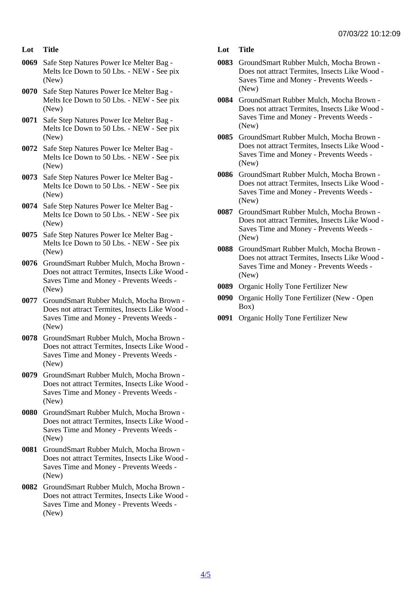- Lot Title
- 0069 Safe Step Natures Power Ice Melter Bag Melts Ice Down to 50 Lbs. - NEW - See pix (New)
- 0070 Safe Step Natures Power Ice Melter Bag Melts Ice Down to 50 Lbs. - NEW - See pix (New)
- 0071 Safe Step Natures Power Ice Melter Bag Melts Ice Down to 50 Lbs. - NEW - See pix (New)
- 0072 Safe Step Natures Power Ice Melter Bag Melts Ice Down to 50 Lbs. - NEW - See pix (New)
- 0073 Safe Step Natures Power Ice Melter Bag Melts Ice Down to 50 Lbs. - NEW - See pix (New)
- 0074 Safe Step Natures Power Ice Melter Bag Melts Ice Down to 50 Lbs. - NEW - See pix (New)
- 0075 Safe Step Natures Power Ice Melter Bag Melts Ice Down to 50 Lbs. - NEW - See pix (New)
- 0076 GroundSmart Rubber Mulch, Mocha Brown Does not attract Termites, Insects Like Wood - Saves Time and Money - Prevents Weeds - (New)
- 0077 GroundSmart Rubber Mulch, Mocha Brown Does not attract Termites, Insects Like Wood - Saves Time and Money - Prevents Weeds - (New)
- 0078 GroundSmart Rubber Mulch, Mocha Brown Does not attract Termites, Insects Like Wood - Saves Time and Money - Prevents Weeds - (New)
- 0079 GroundSmart Rubber Mulch, Mocha Brown Does not attract Termites, Insects Like Wood - Saves Time and Money - Prevents Weeds - (New)
- 0080 GroundSmart Rubber Mulch, Mocha Brown Does not attract Termites, Insects Like Wood - Saves Time and Money - Prevents Weeds - (New)
- 0081 GroundSmart Rubber Mulch, Mocha Brown Does not attract Termites, Insects Like Wood - Saves Time and Money - Prevents Weeds - (New)
- 0082 GroundSmart Rubber Mulch, Mocha Brown Does not attract Termites, Insects Like Wood - Saves Time and Money - Prevents Weeds - (New)
- Lot Title
- 0083 GroundSmart Rubber Mulch, Mocha Brown Does not attract Termites, Insects Like Wood - Saves Time and Money - Prevents Weeds - (New)
- 0084 GroundSmart Rubber Mulch, Mocha Brown Does not attract Termites, Insects Like Wood - Saves Time and Money - Prevents Weeds - (New)
- 0085 GroundSmart Rubber Mulch, Mocha Brown Does not attract Termites, Insects Like Wood - Saves Time and Money - Prevents Weeds - (New)
- 0086 GroundSmart Rubber Mulch, Mocha Brown Does not attract Termites, Insects Like Wood - Saves Time and Money - Prevents Weeds - (New)
- 0087 GroundSmart Rubber Mulch, Mocha Brown Does not attract Termites, Insects Like Wood - Saves Time and Money - Prevents Weeds - (New)
- 0088 GroundSmart Rubber Mulch, Mocha Brown Does not attract Termites, Insects Like Wood - Saves Time and Money - Prevents Weeds - (New)
- 0089 Organic Holly Tone Fertilizer New
- 0090 Organic Holly Tone Fertilizer (New Open Box)
- 0091 Organic Holly Tone Fertilizer New